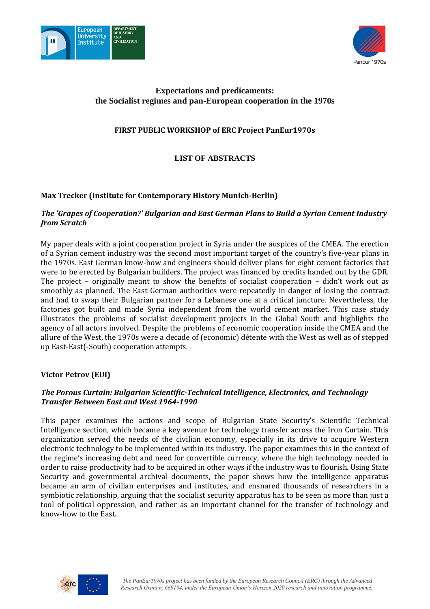



# **Expectations and predicaments: the Socialist regimes and pan-European cooperation in the 1970s**

# **FIRST PUBLIC WORKSHOP of ERC Project PanEur1970s**

**LIST OF ABSTRACTS**

# **Max Trecker (Institute for Contemporary History Munich-Berlin)**

# *The 'Grapes of Cooperation?' Bulgarian and East German Plans to Build a Syrian Cement Industry from Scratch*

My paper deals with a joint cooperation project in Syria under the auspices of the CMEA. The erection of a Syrian cement industry was the second most important target of the country's five-year plans in the 1970s. East German know-how and engineers should deliver plans for eight cement factories that were to be erected by Bulgarian builders. The project was financed by credits handed out by the GDR. The project – originally meant to show the benefits of socialist cooperation – didn't work out as smoothly as planned. The East German authorities were repeatedly in danger of losing the contract and had to swap their Bulgarian partner for a Lebanese one at a critical juncture. Nevertheless, the factories got built and made Syria independent from the world cement market. This case study illustrates the problems of socialist development projects in the Global South and highlights the agency of all actors involved. Despite the problems of economic cooperation inside the CMEA and the allure of the West, the 1970s were a decade of (economic) détente with the West as well as of stepped up East-East(-South) cooperation attempts.

# **Victor Petrov (EUI)**

# *The Porous Curtain: Bulgarian Scientific-Technical Intelligence, Electronics, and Technology Transfer Between East and West 1964-1990*

This paper examines the actions and scope of Bulgarian State Security's Scientific Technical Intelligence section, which became a key avenue for technology transfer across the Iron Curtain. This organization served the needs of the civilian economy, especially in its drive to acquire Western electronic technology to be implemented within its industry. The paper examines this in the context of the regime's increasing debt and need for convertible currency, where the high technology needed in order to raise productivity had to be acquired in other ways if the industry was to flourish. Using State Security and governmental archival documents, the paper shows how the intelligence apparatus became an arm of civilian enterprises and institutes, and ensnared thousands of researchers in a symbiotic relationship, arguing that the socialist security apparatus has to be seen as more than just a tool of political oppression, and rather as an important channel for the transfer of technology and know-how to the East.

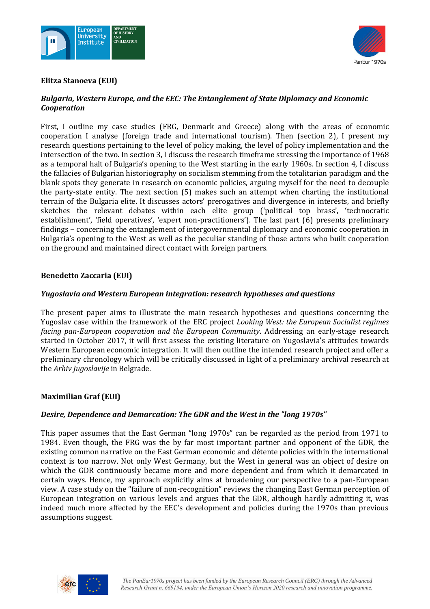



### **Elitza Stanoeva (EUI)**

# *Bulgaria, Western Europe, and the EEC: The Entanglement of State Diplomacy and Economic Cooperation*

First, I outline my case studies (FRG, Denmark and Greece) along with the areas of economic cooperation I analyse (foreign trade and international tourism). Then (section 2), I present my research questions pertaining to the level of policy making, the level of policy implementation and the intersection of the two. In section 3, I discuss the research timeframe stressing the importance of 1968 as a temporal halt of Bulgaria's opening to the West starting in the early 1960s. In section 4, I discuss the fallacies of Bulgarian historiography on socialism stemming from the totalitarian paradigm and the blank spots they generate in research on economic policies, arguing myself for the need to decouple the party-state entity. The next section (5) makes such an attempt when charting the institutional terrain of the Bulgaria elite. It discusses actors' prerogatives and divergence in interests, and briefly sketches the relevant debates within each elite group ('political top brass', 'technocratic establishment', 'field operatives', 'expert non-practitioners'). The last part (6) presents preliminary findings – concerning the entanglement of intergovernmental diplomacy and economic cooperation in Bulgaria's opening to the West as well as the peculiar standing of those actors who built cooperation on the ground and maintained direct contact with foreign partners.

## **Benedetto Zaccaria (EUI)**

## *Yugoslavia and Western European integration: research hypotheses and questions*

The present paper aims to illustrate the main research hypotheses and questions concerning the Yugoslav case within the framework of the ERC project *Looking West: the European Socialist regimes facing pan-European cooperation and the European Community*. Addressing an early-stage research started in October 2017, it will first assess the existing literature on Yugoslavia's attitudes towards Western European economic integration. It will then outline the intended research project and offer a preliminary chronology which will be critically discussed in light of a preliminary archival research at the *Arhiv Jugoslavije* in Belgrade.

# **Maximilian Graf (EUI)**

#### *Desire, Dependence and Demarcation: The GDR and the West in the "long 1970s"*

This paper assumes that the East German "long 1970s" can be regarded as the period from 1971 to 1984. Even though, the FRG was the by far most important partner and opponent of the GDR, the existing common narrative on the East German economic and détente policies within the international context is too narrow. Not only West Germany, but the West in general was an object of desire on which the GDR continuously became more and more dependent and from which it demarcated in certain ways. Hence, my approach explicitly aims at broadening our perspective to a pan-European view. A case study on the "failure of non-recognition" reviews the changing East German perception of European integration on various levels and argues that the GDR, although hardly admitting it, was indeed much more affected by the EEC's development and policies during the 1970s than previous assumptions suggest.

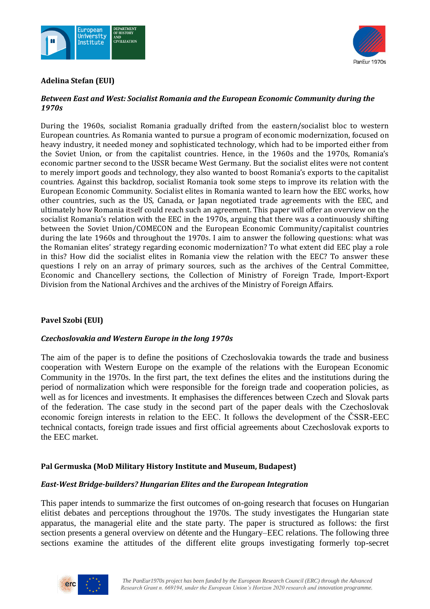



## **Adelina Stefan (EUI)**

# *Between East and West: Socialist Romania and the European Economic Community during the 1970s*

During the 1960s, socialist Romania gradually drifted from the eastern/socialist bloc to western European countries. As Romania wanted to pursue a program of economic modernization, focused on heavy industry, it needed money and sophisticated technology, which had to be imported either from the Soviet Union, or from the capitalist countries. Hence, in the 1960s and the 1970s, Romania's economic partner second to the USSR became West Germany. But the socialist elites were not content to merely import goods and technology, they also wanted to boost Romania's exports to the capitalist countries. Against this backdrop, socialist Romania took some steps to improve its relation with the European Economic Community. Socialist elites in Romania wanted to learn how the EEC works, how other countries, such as the US, Canada, or Japan negotiated trade agreements with the EEC, and ultimately how Romania itself could reach such an agreement. This paper will offer an overview on the socialist Romania's relation with the EEC in the 1970s, arguing that there was a continuously shifting between the Soviet Union/COMECON and the European Economic Community/capitalist countries during the late 1960s and throughout the 1970s. I aim to answer the following questions: what was the Romanian elites' strategy regarding economic modernization? To what extent did EEC play a role in this? How did the socialist elites in Romania view the relation with the EEC? To answer these questions I rely on an array of primary sources, such as the archives of the Central Committee, Economic and Chancellery sections, the Collection of Ministry of Foreign Trade, Import-Export Division from the National Archives and the archives of the Ministry of Foreign Affairs.

# **Pavel Szobi (EUI)**

#### *Czechoslovakia and Western Europe in the long 1970s*

The aim of the paper is to define the positions of Czechoslovakia towards the trade and business cooperation with Western Europe on the example of the relations with the European Economic Community in the 1970s. In the first part, the text defines the elites and the institutions during the period of normalization which were responsible for the foreign trade and cooperation policies, as well as for licences and investments. It emphasises the differences between Czech and Slovak parts of the federation. The case study in the second part of the paper deals with the Czechoslovak economic foreign interests in relation to the EEC. It follows the development of the ČSSR-EEC technical contacts, foreign trade issues and first official agreements about Czechoslovak exports to the EEC market.

#### **Pal Germuska (MoD Military History Institute and Museum, Budapest)**

#### *East-West Bridge-builders? Hungarian Elites and the European Integration*

This paper intends to summarize the first outcomes of on-going research that focuses on Hungarian elitist debates and perceptions throughout the 1970s. The study investigates the Hungarian state apparatus, the managerial elite and the state party. The paper is structured as follows: the first section presents a general overview on détente and the Hungary–EEC relations. The following three sections examine the attitudes of the different elite groups investigating formerly top-secret